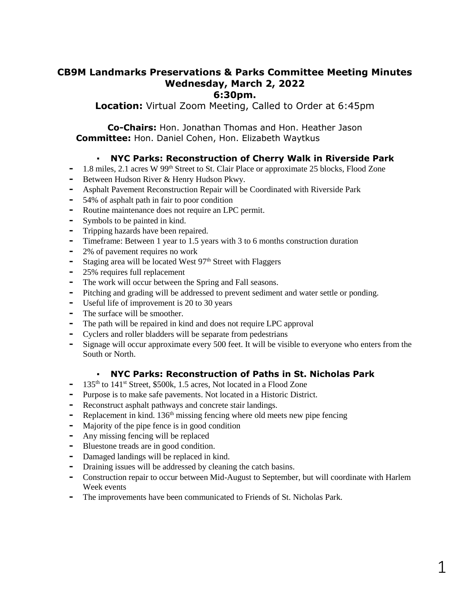# **CB9M Landmarks Preservations & Parks Committee Meeting Minutes Wednesday, March 2, 2022 6:30pm.**

**Location:** Virtual Zoom Meeting, Called to Order at 6:45pm

**Co-Chairs:** Hon. Jonathan Thomas and Hon. Heather Jason **Committee:** Hon. Daniel Cohen, Hon. Elizabeth Waytkus

# ▪ **NYC Parks: Reconstruction of Cherry Walk in Riverside Park**

- **-** 1.8 miles, 2.1 acres W 99th Street to St. Clair Place or approximate 25 blocks, Flood Zone
- **-** Between Hudson River & Henry Hudson Pkwy.
- **-** Asphalt Pavement Reconstruction Repair will be Coordinated with Riverside Park
- **-** 54% of asphalt path in fair to poor condition
- **-** Routine maintenance does not require an LPC permit.
- **-** Symbols to be painted in kind.
- **-** Tripping hazards have been repaired.
- **-** Timeframe: Between 1 year to 1.5 years with 3 to 6 months construction duration
- **-** 2% of pavement requires no work
- Staging area will be located West 97<sup>th</sup> Street with Flaggers
- **-** 25% requires full replacement
- **-** The work will occur between the Spring and Fall seasons.
- **-** Pitching and grading will be addressed to prevent sediment and water settle or ponding.
- **-** Useful life of improvement is 20 to 30 years
- **-** The surface will be smoother.
- **-** The path will be repaired in kind and does not require LPC approval
- **-** Cyclers and roller bladders will be separate from pedestrians
- **-** Signage will occur approximate every 500 feet. It will be visible to everyone who enters from the South or North.

## ▪ **NYC Parks: Reconstruction of Paths in St. Nicholas Park**

- **-** 135th to 141st Street, \$500k, 1.5 acres, Not located in a Flood Zone
- **-** Purpose is to make safe pavements. Not located in a Historic District.
- **-** Reconstruct asphalt pathways and concrete stair landings.
- **-** Replacement in kind. 136th missing fencing where old meets new pipe fencing
- **-** Majority of the pipe fence is in good condition
- **-** Any missing fencing will be replaced
- **-** Bluestone treads are in good condition.
- **-** Damaged landings will be replaced in kind.
- **-** Draining issues will be addressed by cleaning the catch basins.
- **-** Construction repair to occur between Mid-August to September, but will coordinate with Harlem Week events
- **-** The improvements have been communicated to Friends of St. Nicholas Park.